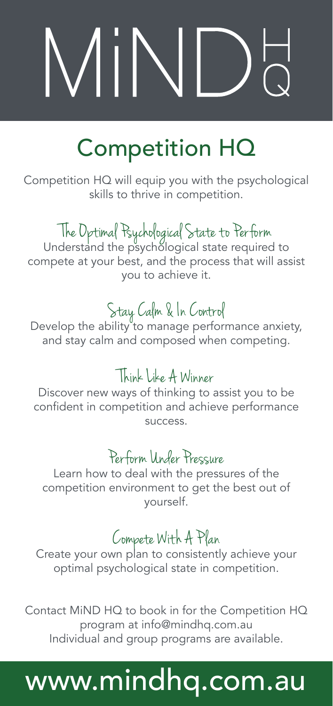# $\mathcal{M}$ i $\mathcal{N}$

# Competition HQ

Competition HQ will equip you with the psychological skills to thrive in competition.

# The Optimal Psychological State to Perform Understand the psychological state required to

compete at your best, and the process that will assist you to achieve it.

Stay Calm & In Control<br>Develop the ability to manage performance anxiety, and stay calm and composed when competing.

## Think Like A Winner

Discover new ways of thinking to assist you to be confident in competition and achieve performance success.

### Perform Under Pressure

Learn how to deal with the pressures of the competition environment to get the best out of yourself.

 $\epsilon$  Compete With  $A$   $P$  and  $P$  Create your own plan to consistently achieve your optimal psychological state in competition.

Contact MiND HQ to book in for the Competition HQ program at info@mindhq.com.au Individual and group programs are available.

# www.mindhq.com.au